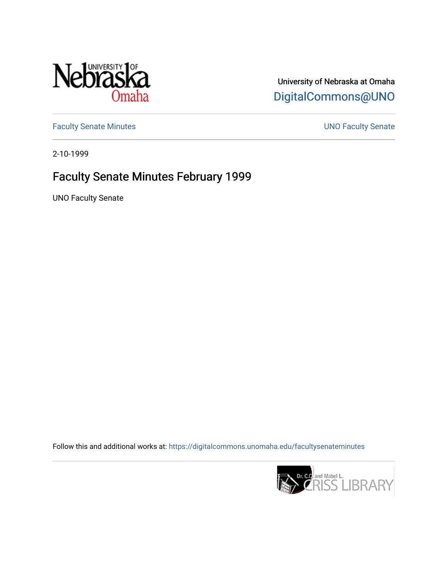

University of Nebraska at Omaha [DigitalCommons@UNO](https://digitalcommons.unomaha.edu/) 

[Faculty Senate Minutes](https://digitalcommons.unomaha.edu/facultysenateminutes) **Exercise Senate UNO Faculty Senate** 

2-10-1999

## Faculty Senate Minutes February 1999

UNO Faculty Senate

Follow this and additional works at: [https://digitalcommons.unomaha.edu/facultysenateminutes](https://digitalcommons.unomaha.edu/facultysenateminutes?utm_source=digitalcommons.unomaha.edu%2Ffacultysenateminutes%2F60&utm_medium=PDF&utm_campaign=PDFCoverPages) 

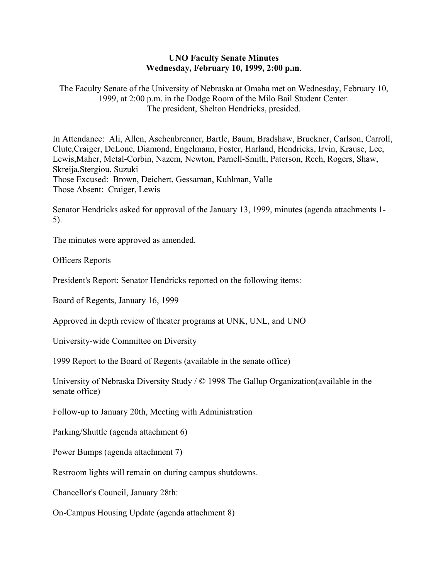## **UNO Faculty Senate Minutes Wednesday, February 10, 1999, 2:00 p.m**.

The Faculty Senate of the University of Nebraska at Omaha met on Wednesday, February 10, 1999, at 2:00 p.m. in the Dodge Room of the Milo Bail Student Center. The president, Shelton Hendricks, presided.

In Attendance: Ali, Allen, Aschenbrenner, Bartle, Baum, Bradshaw, Bruckner, Carlson, Carroll, Clute,Craiger, DeLone, Diamond, Engelmann, Foster, Harland, Hendricks, Irvin, Krause, Lee, Lewis,Maher, Metal-Corbin, Nazem, Newton, Parnell-Smith, Paterson, Rech, Rogers, Shaw, Skreija,Stergiou, Suzuki Those Excused: Brown, Deichert, Gessaman, Kuhlman, Valle Those Absent: Craiger, Lewis

Senator Hendricks asked for approval of the January 13, 1999, minutes (agenda attachments 1- 5).

The minutes were approved as amended.

Officers Reports

President's Report: Senator Hendricks reported on the following items:

Board of Regents, January 16, 1999

Approved in depth review of theater programs at UNK, UNL, and UNO

University-wide Committee on Diversity

1999 Report to the Board of Regents (available in the senate office)

University of Nebraska Diversity Study / © 1998 The Gallup Organization(available in the senate office)

Follow-up to January 20th, Meeting with Administration

Parking/Shuttle (agenda attachment 6)

Power Bumps (agenda attachment 7)

Restroom lights will remain on during campus shutdowns.

Chancellor's Council, January 28th:

On-Campus Housing Update (agenda attachment 8)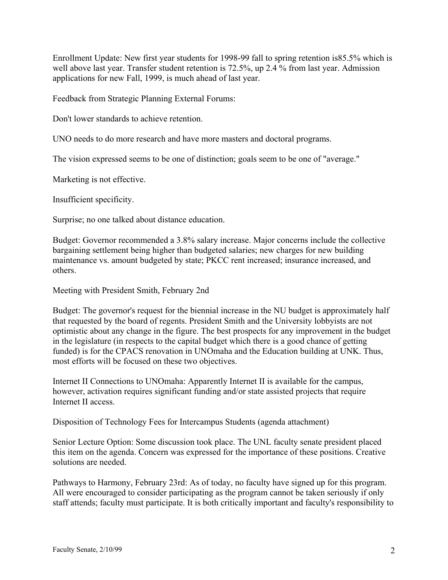Enrollment Update: New first year students for 1998-99 fall to spring retention is85.5% which is well above last year. Transfer student retention is 72.5%, up 2.4 % from last year. Admission applications for new Fall, 1999, is much ahead of last year.

Feedback from Strategic Planning External Forums:

Don't lower standards to achieve retention.

UNO needs to do more research and have more masters and doctoral programs.

The vision expressed seems to be one of distinction; goals seem to be one of "average."

Marketing is not effective.

Insufficient specificity.

Surprise; no one talked about distance education.

Budget: Governor recommended a 3.8% salary increase. Major concerns include the collective bargaining settlement being higher than budgeted salaries; new charges for new building maintenance vs. amount budgeted by state; PKCC rent increased; insurance increased, and others.

Meeting with President Smith, February 2nd

Budget: The governor's request for the biennial increase in the NU budget is approximately half that requested by the board of regents. President Smith and the University lobbyists are not optimistic about any change in the figure. The best prospects for any improvement in the budget in the legislature (in respects to the capital budget which there is a good chance of getting funded) is for the CPACS renovation in UNOmaha and the Education building at UNK. Thus, most efforts will be focused on these two objectives.

Internet II Connections to UNOmaha: Apparently Internet II is available for the campus, however, activation requires significant funding and/or state assisted projects that require Internet II access.

Disposition of Technology Fees for Intercampus Students (agenda attachment)

Senior Lecture Option: Some discussion took place. The UNL faculty senate president placed this item on the agenda. Concern was expressed for the importance of these positions. Creative solutions are needed.

Pathways to Harmony, February 23rd: As of today, no faculty have signed up for this program. All were encouraged to consider participating as the program cannot be taken seriously if only staff attends; faculty must participate. It is both critically important and faculty's responsibility to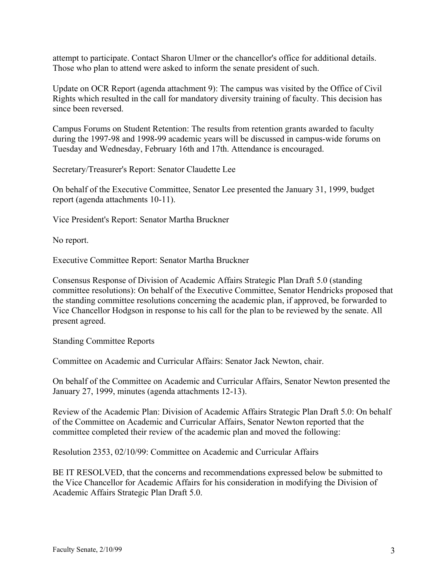attempt to participate. Contact Sharon Ulmer or the chancellor's office for additional details. Those who plan to attend were asked to inform the senate president of such.

Update on OCR Report (agenda attachment 9): The campus was visited by the Office of Civil Rights which resulted in the call for mandatory diversity training of faculty. This decision has since been reversed.

Campus Forums on Student Retention: The results from retention grants awarded to faculty during the 1997-98 and 1998-99 academic years will be discussed in campus-wide forums on Tuesday and Wednesday, February 16th and 17th. Attendance is encouraged.

Secretary/Treasurer's Report: Senator Claudette Lee

On behalf of the Executive Committee, Senator Lee presented the January 31, 1999, budget report (agenda attachments 10-11).

Vice President's Report: Senator Martha Bruckner

No report.

Executive Committee Report: Senator Martha Bruckner

Consensus Response of Division of Academic Affairs Strategic Plan Draft 5.0 (standing committee resolutions): On behalf of the Executive Committee, Senator Hendricks proposed that the standing committee resolutions concerning the academic plan, if approved, be forwarded to Vice Chancellor Hodgson in response to his call for the plan to be reviewed by the senate. All present agreed.

Standing Committee Reports

Committee on Academic and Curricular Affairs: Senator Jack Newton, chair.

On behalf of the Committee on Academic and Curricular Affairs, Senator Newton presented the January 27, 1999, minutes (agenda attachments 12-13).

Review of the Academic Plan: Division of Academic Affairs Strategic Plan Draft 5.0: On behalf of the Committee on Academic and Curricular Affairs, Senator Newton reported that the committee completed their review of the academic plan and moved the following:

Resolution 2353, 02/10/99: Committee on Academic and Curricular Affairs

BE IT RESOLVED, that the concerns and recommendations expressed below be submitted to the Vice Chancellor for Academic Affairs for his consideration in modifying the Division of Academic Affairs Strategic Plan Draft 5.0.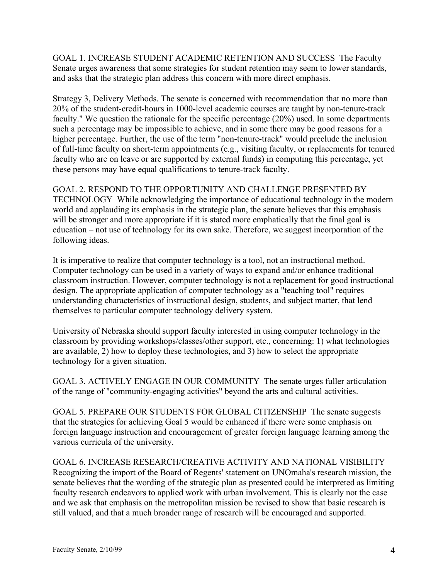GOAL 1. INCREASE STUDENT ACADEMIC RETENTION AND SUCCESS The Faculty Senate urges awareness that some strategies for student retention may seem to lower standards, and asks that the strategic plan address this concern with more direct emphasis.

Strategy 3, Delivery Methods. The senate is concerned with recommendation that no more than 20% of the student-credit-hours in 1000-level academic courses are taught by non-tenure-track faculty." We question the rationale for the specific percentage (20%) used. In some departments such a percentage may be impossible to achieve, and in some there may be good reasons for a higher percentage. Further, the use of the term "non-tenure-track" would preclude the inclusion of full-time faculty on short-term appointments (e.g., visiting faculty, or replacements for tenured faculty who are on leave or are supported by external funds) in computing this percentage, yet these persons may have equal qualifications to tenure-track faculty.

GOAL 2. RESPOND TO THE OPPORTUNITY AND CHALLENGE PRESENTED BY TECHNOLOGY While acknowledging the importance of educational technology in the modern world and applauding its emphasis in the strategic plan, the senate believes that this emphasis will be stronger and more appropriate if it is stated more emphatically that the final goal is education – not use of technology for its own sake. Therefore, we suggest incorporation of the following ideas.

It is imperative to realize that computer technology is a tool, not an instructional method. Computer technology can be used in a variety of ways to expand and/or enhance traditional classroom instruction. However, computer technology is not a replacement for good instructional design. The appropriate application of computer technology as a "teaching tool" requires understanding characteristics of instructional design, students, and subject matter, that lend themselves to particular computer technology delivery system.

University of Nebraska should support faculty interested in using computer technology in the classroom by providing workshops/classes/other support, etc., concerning: 1) what technologies are available, 2) how to deploy these technologies, and 3) how to select the appropriate technology for a given situation.

GOAL 3. ACTIVELY ENGAGE IN OUR COMMUNITY The senate urges fuller articulation of the range of "community-engaging activities" beyond the arts and cultural activities.

GOAL 5. PREPARE OUR STUDENTS FOR GLOBAL CITIZENSHIP The senate suggests that the strategies for achieving Goal 5 would be enhanced if there were some emphasis on foreign language instruction and encouragement of greater foreign language learning among the various curricula of the university.

GOAL 6. INCREASE RESEARCH/CREATIVE ACTIVITY AND NATIONAL VISIBILITY Recognizing the import of the Board of Regents' statement on UNOmaha's research mission, the senate believes that the wording of the strategic plan as presented could be interpreted as limiting faculty research endeavors to applied work with urban involvement. This is clearly not the case and we ask that emphasis on the metropolitan mission be revised to show that basic research is still valued, and that a much broader range of research will be encouraged and supported.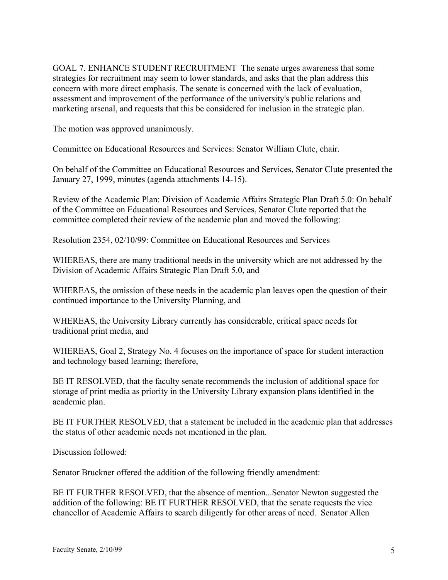GOAL 7. ENHANCE STUDENT RECRUITMENT The senate urges awareness that some strategies for recruitment may seem to lower standards, and asks that the plan address this concern with more direct emphasis. The senate is concerned with the lack of evaluation, assessment and improvement of the performance of the university's public relations and marketing arsenal, and requests that this be considered for inclusion in the strategic plan.

The motion was approved unanimously.

Committee on Educational Resources and Services: Senator William Clute, chair.

On behalf of the Committee on Educational Resources and Services, Senator Clute presented the January 27, 1999, minutes (agenda attachments 14-15).

Review of the Academic Plan: Division of Academic Affairs Strategic Plan Draft 5.0: On behalf of the Committee on Educational Resources and Services, Senator Clute reported that the committee completed their review of the academic plan and moved the following:

Resolution 2354, 02/10/99: Committee on Educational Resources and Services

WHEREAS, there are many traditional needs in the university which are not addressed by the Division of Academic Affairs Strategic Plan Draft 5.0, and

WHEREAS, the omission of these needs in the academic plan leaves open the question of their continued importance to the University Planning, and

WHEREAS, the University Library currently has considerable, critical space needs for traditional print media, and

WHEREAS, Goal 2, Strategy No. 4 focuses on the importance of space for student interaction and technology based learning; therefore,

BE IT RESOLVED, that the faculty senate recommends the inclusion of additional space for storage of print media as priority in the University Library expansion plans identified in the academic plan.

BE IT FURTHER RESOLVED, that a statement be included in the academic plan that addresses the status of other academic needs not mentioned in the plan.

Discussion followed:

Senator Bruckner offered the addition of the following friendly amendment:

BE IT FURTHER RESOLVED, that the absence of mention...Senator Newton suggested the addition of the following: BE IT FURTHER RESOLVED, that the senate requests the vice chancellor of Academic Affairs to search diligently for other areas of need. Senator Allen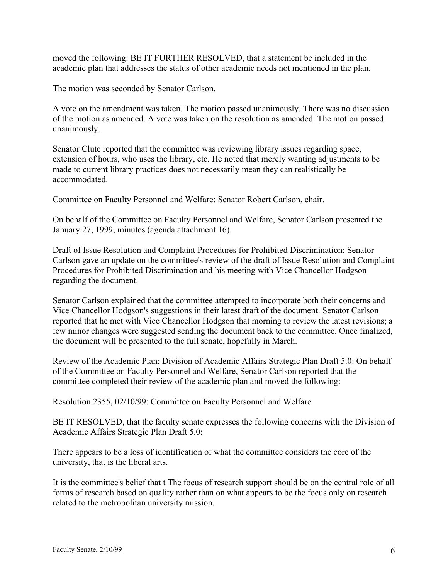moved the following: BE IT FURTHER RESOLVED, that a statement be included in the academic plan that addresses the status of other academic needs not mentioned in the plan.

The motion was seconded by Senator Carlson.

A vote on the amendment was taken. The motion passed unanimously. There was no discussion of the motion as amended. A vote was taken on the resolution as amended. The motion passed unanimously.

Senator Clute reported that the committee was reviewing library issues regarding space, extension of hours, who uses the library, etc. He noted that merely wanting adjustments to be made to current library practices does not necessarily mean they can realistically be accommodated.

Committee on Faculty Personnel and Welfare: Senator Robert Carlson, chair.

On behalf of the Committee on Faculty Personnel and Welfare, Senator Carlson presented the January 27, 1999, minutes (agenda attachment 16).

Draft of Issue Resolution and Complaint Procedures for Prohibited Discrimination: Senator Carlson gave an update on the committee's review of the draft of Issue Resolution and Complaint Procedures for Prohibited Discrimination and his meeting with Vice Chancellor Hodgson regarding the document.

Senator Carlson explained that the committee attempted to incorporate both their concerns and Vice Chancellor Hodgson's suggestions in their latest draft of the document. Senator Carlson reported that he met with Vice Chancellor Hodgson that morning to review the latest revisions; a few minor changes were suggested sending the document back to the committee. Once finalized, the document will be presented to the full senate, hopefully in March.

Review of the Academic Plan: Division of Academic Affairs Strategic Plan Draft 5.0: On behalf of the Committee on Faculty Personnel and Welfare, Senator Carlson reported that the committee completed their review of the academic plan and moved the following:

Resolution 2355, 02/10/99: Committee on Faculty Personnel and Welfare

BE IT RESOLVED, that the faculty senate expresses the following concerns with the Division of Academic Affairs Strategic Plan Draft 5.0:

There appears to be a loss of identification of what the committee considers the core of the university, that is the liberal arts.

It is the committee's belief that t The focus of research support should be on the central role of all forms of research based on quality rather than on what appears to be the focus only on research related to the metropolitan university mission.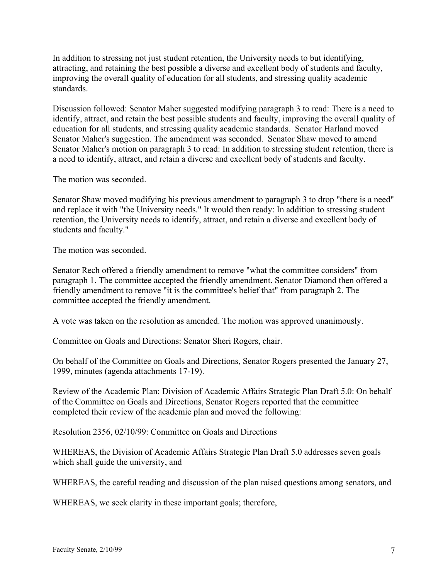In addition to stressing not just student retention, the University needs to but identifying, attracting, and retaining the best possible a diverse and excellent body of students and faculty, improving the overall quality of education for all students, and stressing quality academic standards.

Discussion followed: Senator Maher suggested modifying paragraph 3 to read: There is a need to identify, attract, and retain the best possible students and faculty, improving the overall quality of education for all students, and stressing quality academic standards. Senator Harland moved Senator Maher's suggestion. The amendment was seconded. Senator Shaw moved to amend Senator Maher's motion on paragraph 3 to read: In addition to stressing student retention, there is a need to identify, attract, and retain a diverse and excellent body of students and faculty.

The motion was seconded.

Senator Shaw moved modifying his previous amendment to paragraph 3 to drop "there is a need" and replace it with "the University needs." It would then ready: In addition to stressing student retention, the University needs to identify, attract, and retain a diverse and excellent body of students and faculty."

The motion was seconded.

Senator Rech offered a friendly amendment to remove "what the committee considers" from paragraph 1. The committee accepted the friendly amendment. Senator Diamond then offered a friendly amendment to remove "it is the committee's belief that" from paragraph 2. The committee accepted the friendly amendment.

A vote was taken on the resolution as amended. The motion was approved unanimously.

Committee on Goals and Directions: Senator Sheri Rogers, chair.

On behalf of the Committee on Goals and Directions, Senator Rogers presented the January 27, 1999, minutes (agenda attachments 17-19).

Review of the Academic Plan: Division of Academic Affairs Strategic Plan Draft 5.0: On behalf of the Committee on Goals and Directions, Senator Rogers reported that the committee completed their review of the academic plan and moved the following:

Resolution 2356, 02/10/99: Committee on Goals and Directions

WHEREAS, the Division of Academic Affairs Strategic Plan Draft 5.0 addresses seven goals which shall guide the university, and

WHEREAS, the careful reading and discussion of the plan raised questions among senators, and

WHEREAS, we seek clarity in these important goals; therefore,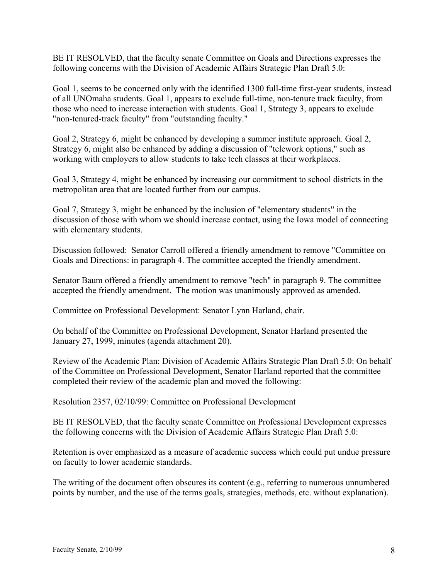BE IT RESOLVED, that the faculty senate Committee on Goals and Directions expresses the following concerns with the Division of Academic Affairs Strategic Plan Draft 5.0:

Goal 1, seems to be concerned only with the identified 1300 full-time first-year students, instead of all UNOmaha students. Goal 1, appears to exclude full-time, non-tenure track faculty, from those who need to increase interaction with students. Goal 1, Strategy 3, appears to exclude "non-tenured-track faculty" from "outstanding faculty."

Goal 2, Strategy 6, might be enhanced by developing a summer institute approach. Goal 2, Strategy 6, might also be enhanced by adding a discussion of "telework options," such as working with employers to allow students to take tech classes at their workplaces.

Goal 3, Strategy 4, might be enhanced by increasing our commitment to school districts in the metropolitan area that are located further from our campus.

Goal 7, Strategy 3, might be enhanced by the inclusion of "elementary students" in the discussion of those with whom we should increase contact, using the Iowa model of connecting with elementary students.

Discussion followed: Senator Carroll offered a friendly amendment to remove "Committee on Goals and Directions: in paragraph 4. The committee accepted the friendly amendment.

Senator Baum offered a friendly amendment to remove "tech" in paragraph 9. The committee accepted the friendly amendment. The motion was unanimously approved as amended.

Committee on Professional Development: Senator Lynn Harland, chair.

On behalf of the Committee on Professional Development, Senator Harland presented the January 27, 1999, minutes (agenda attachment 20).

Review of the Academic Plan: Division of Academic Affairs Strategic Plan Draft 5.0: On behalf of the Committee on Professional Development, Senator Harland reported that the committee completed their review of the academic plan and moved the following:

Resolution 2357, 02/10/99: Committee on Professional Development

BE IT RESOLVED, that the faculty senate Committee on Professional Development expresses the following concerns with the Division of Academic Affairs Strategic Plan Draft 5.0:

Retention is over emphasized as a measure of academic success which could put undue pressure on faculty to lower academic standards.

The writing of the document often obscures its content (e.g., referring to numerous unnumbered points by number, and the use of the terms goals, strategies, methods, etc. without explanation).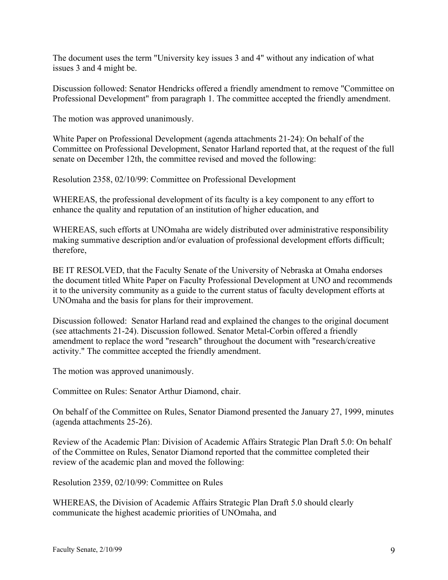The document uses the term "University key issues 3 and 4" without any indication of what issues 3 and 4 might be.

Discussion followed: Senator Hendricks offered a friendly amendment to remove "Committee on Professional Development" from paragraph 1. The committee accepted the friendly amendment.

The motion was approved unanimously.

White Paper on Professional Development (agenda attachments 21-24): On behalf of the Committee on Professional Development, Senator Harland reported that, at the request of the full senate on December 12th, the committee revised and moved the following:

Resolution 2358, 02/10/99: Committee on Professional Development

WHEREAS, the professional development of its faculty is a key component to any effort to enhance the quality and reputation of an institution of higher education, and

WHEREAS, such efforts at UNOmaha are widely distributed over administrative responsibility making summative description and/or evaluation of professional development efforts difficult; therefore,

BE IT RESOLVED, that the Faculty Senate of the University of Nebraska at Omaha endorses the document titled White Paper on Faculty Professional Development at UNO and recommends it to the university community as a guide to the current status of faculty development efforts at UNOmaha and the basis for plans for their improvement.

Discussion followed: Senator Harland read and explained the changes to the original document (see attachments 21-24). Discussion followed. Senator Metal-Corbin offered a friendly amendment to replace the word "research" throughout the document with "research/creative activity." The committee accepted the friendly amendment.

The motion was approved unanimously.

Committee on Rules: Senator Arthur Diamond, chair.

On behalf of the Committee on Rules, Senator Diamond presented the January 27, 1999, minutes (agenda attachments 25-26).

Review of the Academic Plan: Division of Academic Affairs Strategic Plan Draft 5.0: On behalf of the Committee on Rules, Senator Diamond reported that the committee completed their review of the academic plan and moved the following:

Resolution 2359, 02/10/99: Committee on Rules

WHEREAS, the Division of Academic Affairs Strategic Plan Draft 5.0 should clearly communicate the highest academic priorities of UNOmaha, and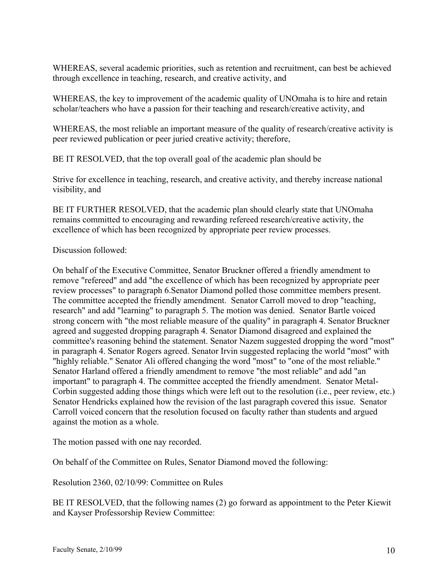WHEREAS, several academic priorities, such as retention and recruitment, can best be achieved through excellence in teaching, research, and creative activity, and

WHEREAS, the key to improvement of the academic quality of UNOmaha is to hire and retain scholar/teachers who have a passion for their teaching and research/creative activity, and

WHEREAS, the most reliable an important measure of the quality of research/creative activity is peer reviewed publication or peer juried creative activity; therefore,

BE IT RESOLVED, that the top overall goal of the academic plan should be

Strive for excellence in teaching, research, and creative activity, and thereby increase national visibility, and

BE IT FURTHER RESOLVED, that the academic plan should clearly state that UNOmaha remains committed to encouraging and rewarding refereed research/creative activity, the excellence of which has been recognized by appropriate peer review processes.

## Discussion followed:

On behalf of the Executive Committee, Senator Bruckner offered a friendly amendment to remove "refereed" and add "the excellence of which has been recognized by appropriate peer review processes" to paragraph 6.Senator Diamond polled those committee members present. The committee accepted the friendly amendment. Senator Carroll moved to drop "teaching, research" and add "learning" to paragraph 5. The motion was denied. Senator Bartle voiced strong concern with "the most reliable measure of the quality" in paragraph 4. Senator Bruckner agreed and suggested dropping paragraph 4. Senator Diamond disagreed and explained the committee's reasoning behind the statement. Senator Nazem suggested dropping the word "most" in paragraph 4. Senator Rogers agreed. Senator Irvin suggested replacing the world "most" with "highly reliable." Senator Ali offered changing the word "most" to "one of the most reliable." Senator Harland offered a friendly amendment to remove "the most reliable" and add "an important" to paragraph 4. The committee accepted the friendly amendment. Senator Metal-Corbin suggested adding those things which were left out to the resolution (i.e., peer review, etc.) Senator Hendricks explained how the revision of the last paragraph covered this issue. Senator Carroll voiced concern that the resolution focused on faculty rather than students and argued against the motion as a whole.

The motion passed with one nay recorded.

On behalf of the Committee on Rules, Senator Diamond moved the following:

Resolution 2360, 02/10/99: Committee on Rules

BE IT RESOLVED, that the following names (2) go forward as appointment to the Peter Kiewit and Kayser Professorship Review Committee: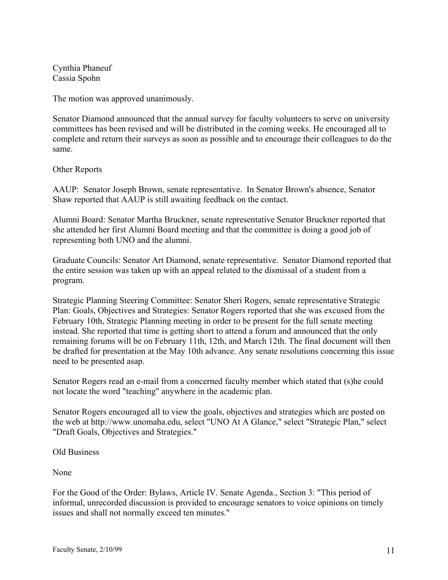Cynthia Phaneuf Cassia Spohn

The motion was approved unanimously.

Senator Diamond announced that the annual survey for faculty volunteers to serve on university committees has been revised and will be distributed in the coming weeks. He encouraged all to complete and return their surveys as soon as possible and to encourage their colleagues to do the same.

Other Reports

AAUP: Senator Joseph Brown, senate representative. In Senator Brown's absence, Senator Shaw reported that AAUP is still awaiting feedback on the contact.

Alumni Board: Senator Martha Bruckner, senate representative Senator Bruckner reported that she attended her first Alumni Board meeting and that the committee is doing a good job of representing both UNO and the alumni.

Graduate Councils: Senator Art Diamond, senate representative. Senator Diamond reported that the entire session was taken up with an appeal related to the dismissal of a student from a program.

Strategic Planning Steering Committee: Senator Sheri Rogers, senate representative Strategic Plan: Goals, Objectives and Strategies: Senator Rogers reported that she was excused from the February 10th, Strategic Planning meeting in order to be present for the full senate meeting instead. She reported that time is getting short to attend a forum and announced that the only remaining forums will be on February 11th, 12th, and March 12th. The final document will then be drafted for presentation at the May 10th advance. Any senate resolutions concerning this issue need to be presented asap.

Senator Rogers read an e-mail from a concerned faculty member which stated that (s)he could not locate the word "teaching" anywhere in the academic plan.

Senator Rogers encouraged all to view the goals, objectives and strategies which are posted on the web at http://www.unomaha.edu, select "UNO At A Glance," select "Strategic Plan," select "Draft Goals, Objectives and Strategies."

Old Business

None

For the Good of the Order: Bylaws, Article IV. Senate Agenda., Section 3: "This period of informal, unrecorded discussion is provided to encourage senators to voice opinions on timely issues and shall not normally exceed ten minutes."